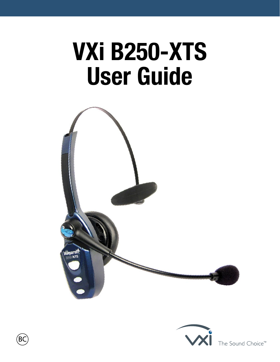# **VXi B250-XTS User Guide**





The Sound Choice<sup>™</sup>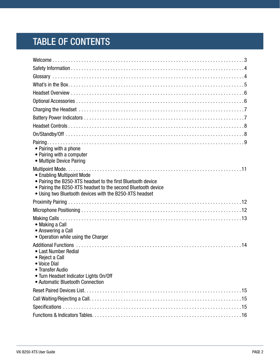# TABLE OF CONTENTS

| • Pairing with a phone<br>• Pairing with a computer<br>• Multiple Device Pairing                                                                                                                                       |  |
|------------------------------------------------------------------------------------------------------------------------------------------------------------------------------------------------------------------------|--|
| • Enabling Multipoint Mode<br>• Pairing the B250-XTS headset to the first Bluetooth device<br>• Pairing the B250-XTS headset to the second Bluetooth device<br>• Using two Bluetooth devices with the B250-XTS headset |  |
|                                                                                                                                                                                                                        |  |
|                                                                                                                                                                                                                        |  |
| • Making a Call<br>• Answering a Call<br>• Operation while using the Charger                                                                                                                                           |  |
| • Last Number Redial<br>• Reject a Call<br>• Voice Dial<br>• Transfer Audio<br>• Turn Headset Indicator Lights On/Off<br>• Automatic Bluetooth Connection                                                              |  |
|                                                                                                                                                                                                                        |  |
|                                                                                                                                                                                                                        |  |
|                                                                                                                                                                                                                        |  |
|                                                                                                                                                                                                                        |  |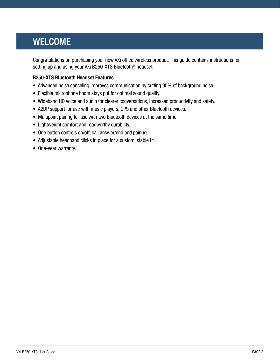### <span id="page-2-0"></span>WELCOME

Congratulations on purchasing your new VXi office wireless product. This guide contains instructions for setting up and using your VXi B250-XTS Bluetooth<sup>®</sup> headset.

#### **B250-XTS Bluetooth Headset Features**

- Advanced noise canceling improves communication by cutting 95% of background noise.
- Flexible microphone boom stays put for optimal sound quality.
- Wideband HD Voice and audio for clearer conversations, increased productivity and safety.
- A2DP support for use with music players, GPS and other Bluetooth devices.
- Multipoint pairing for use with two Bluetooth devices at the same time.
- Lightweight comfort and roadworthy durability.
- One button controls on/off, call answer/end and pairing.
- Adjustable headband clicks in place for a custom, stable fit.
- One-year warranty.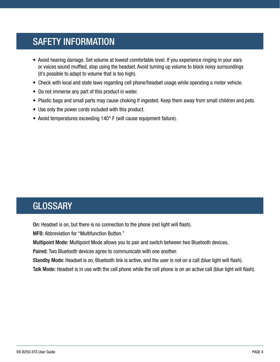# <span id="page-3-0"></span>SAFETY INFORMATION

- Avoid hearing damage. Set volume at lowest comfortable level. If you experience ringing in your ears or voices sound muffled, stop using the headset. Avoid turning up volume to block noisy surroundings (it's possible to adapt to volume that is too high).
- Check with local and state laws regarding cell phone/headset usage while operating a motor vehicle.
- Do not immerse any part of this product in water.
- Plastic bags and small parts may cause choking if ingested. Keep them away from small children and pets.
- Use only the power cords included with this product.
- Avoid temperatures exceeding 140° F (will cause equipment failure).

### <span id="page-3-1"></span>**GLOSSARY**

On: Headset is on, but there is no connection to the phone (red light will flash).

MFB: Abbreviation for "Multifunction Button."

Multipoint Mode: Multipoint Mode allows you to pair and switch between two Bluetooth devices.

Paired: Two Bluetooth devices agree to communicate with one another.

Standby Mode: Headset is on, Bluetooth link is active, and the user is not on a call (blue light will flash).

Talk Mode: Headset is in use with the cell phone while the cell phone is on an active call (blue light will flash).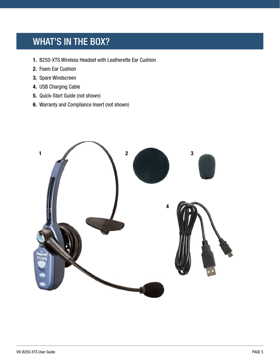### <span id="page-4-0"></span>WHAT'S IN THE BOX?

- **1.** B250-XTS Wireless Headset with Leatherette Ear Cushion
- **2.** Foam Ear Cushion
- **3.** Spare Windscreen
- **4.** USB Charging Cable
- **5.** Quick-Start Guide (not shown)
- **6.** Warranty and Compliance Insert (not shown)

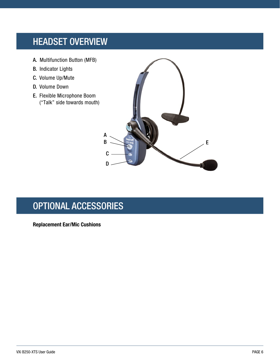### <span id="page-5-0"></span>HEADSET OVERVIEW

- A. Multifunction Button (MFB)
- B. Indicator Lights
- C. Volume Up/Mute
- D. Volume Down
- E. Flexible Microphone Boom ("Talk" side towards mouth)



# <span id="page-5-1"></span>OPTIONAL ACCESSORIES

**Replacement Ear/Mic Cushions**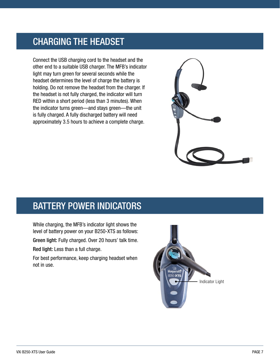### <span id="page-6-0"></span>CHARGING THE HEADSET

Connect the USB charging cord to the headset and the other end to a suitable USB charger. The MFB's indicator light may turn green for several seconds while the headset determines the level of charge the battery is holding. Do not remove the headset from the charger. If the headset is not fully charged, the indicator will turn RED within a short period (less than 3 minutes). When the indicator turns green—and stays green—the unit is fully charged. A fully discharged battery will need approximately 3.5 hours to achieve a complete charge.



### <span id="page-6-1"></span>BATTERY POWER INDICATORS

While charging, the MFB's indicator light shows the level of battery power on your B250-XTS as follows:

Green light: Fully charged. Over 20 hours' talk time.

Red light: Less than a full charge.

For best performance, keep charging headset when not in use.

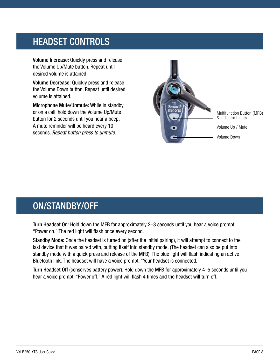### <span id="page-7-0"></span>HEADSET CONTROLS

Volume Increase: Quickly press and release the Volume Up/Mute button. Repeat until desired volume is attained.

Volume Decrease: Quickly press and release the Volume Down button. Repeat until desired volume is attained.

Microphone Mute/Unmute: While in standby or on a call, hold down the Volume Up/Mute button for 2 seconds until you hear a beep. A mute reminder will be heard every 10 seconds. *Repeat button press to unmute.*



Multifunction Button (MFB) & Indicator Lights Volume Up / Mute Volume Down

### <span id="page-7-1"></span>ON/STANDBY/OFF

Turn Headset On: Hold down the MFB for approximately 2–3 seconds until you hear a voice prompt, "Power on." The red light will flash once every second.

Standby Mode: Once the headset is turned on (after the initial pairing), it will attempt to connect to the last device that it was paired with, putting itself into standby mode. (The headset can also be put into standby mode with a quick press and release of the MFB). The blue light will flash indicating an active Bluetooth link. The headset will have a voice prompt, "Your headset is connected."

Turn Headset Off (conserves battery power): Hold down the MFB for approximately 4–5 seconds until you hear a voice prompt, "Power off." A red light will flash 4 times and the headset will turn off.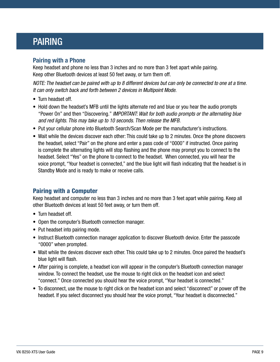### <span id="page-8-0"></span>PAIRING

#### **Pairing with a Phone**

Keep headset and phone no less than 3 inches and no more than 3 feet apart while pairing. Keep other Bluetooth devices at least 50 feet away, or turn them off.

*NOTE: The headset can be paired with up to 8 different devices but can only be connected to one at a time. It can only switch back and forth between 2 devices in Multipoint Mode.*

- Turn headset off.
- Hold down the headset's MFB until the lights alternate red and blue or you hear the audio prompts "Power On" and then "Discovering." *IMPORTANT: Wait for both audio prompts or the alternating blue and red lights. This may take up to 10 seconds. Then release the MFB.*
- Put your cellular phone into Bluetooth Search/Scan Mode per the manufacturer's instructions.
- Wait while the devices discover each other: This could take up to 2 minutes. Once the phone discovers the headset, select "Pair" on the phone and enter a pass code of "0000" if instructed. Once pairing is complete the alternating lights will stop flashing and the phone may prompt you to connect to the headset. Select "Yes" on the phone to connect to the headset. When connected, you will hear the voice prompt, "Your headset is connected," and the blue light will flash indicating that the headset is in Standby Mode and is ready to make or receive calls.

#### Pairing with a Computer

Keep headset and computer no less than 3 inches and no more than 3 feet apart while pairing. Keep all other Bluetooth devices at least 50 feet away, or turn them off.

- Turn headset off.
- Open the computer's Bluetooth connection manager.
- Put headset into pairing mode.
- Instruct Bluetooth connection manager application to discover Bluetooth device. Enter the passcode "0000" when prompted.
- Wait while the devices discover each other. This could take up to 2 minutes. Once paired the headset's blue light will flash.
- After pairing is complete, a headset icon will appear in the computer's Bluetooth connection manager window. To connect the headset, use the mouse to right click on the headset icon and select "connect." Once connected you should hear the voice prompt, "Your headset is connected."
- To disconnect, use the mouse to right click on the headset icon and select "disconnect" or power off the headset. If you select disconnect you should hear the voice prompt, "Your headset is disconnected."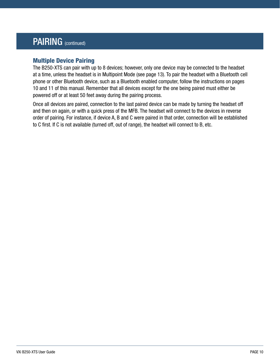### PAIRING (continued)

#### Multiple Device Pairing

The B250-XTS can pair with up to 8 devices; however, only one device may be connected to the headset at a time, unless the headset is in Multipoint Mode (see page 13). To pair the headset with a Bluetooth cell phone or other Bluetooth device, such as a Bluetooth enabled computer, follow the instructions on pages 10 and 11 of this manual. Remember that all devices except for the one being paired must either be powered off or at least 50 feet away during the pairing process.

Once all devices are paired, connection to the last paired device can be made by turning the headset off and then on again, or with a quick press of the MFB. The headset will connect to the devices in reverse order of pairing. For instance, if device A, B and C were paired in that order, connection will be established to C first. If C is not available (turned off, out of range), the headset will connect to B, etc.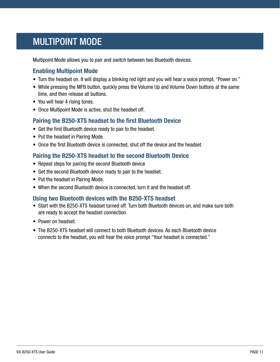### <span id="page-10-0"></span>MULTIPOINT MODE

Multipoint Mode allows you to pair and switch between two Bluetooth devices.

#### **Enabling Multipoint Mode**

- Turn the headset on. It will display a blinking red light and you will hear a voice prompt, "Power on."
- While pressing the MFB button, quickly press the Volume Up and Volume Down buttons at the same time, and then release all buttons.
- You will hear 4 rising tones.
- Once Multipoint Mode is active, shut the headset off.

#### **Pairing the B250-XTS headset to the first Bluetooth Device**

- Get the first Bluetooth device ready to pair to the headset.
- Put the headset in Pairing Mode.
- Once the first Bluetooth device is connected, shut off the device and the headset.

#### **Pairing the B250-XTS headset to the second Bluetooth Device**

- Repeat steps for pairing the second Bluetooth device
- Get the second Bluetooth device ready to pair to the headset.
- Put the headset in Pairing Mode.
- When the second Bluetooth device is connected, turn it and the headset off.

#### **Using two Bluetooth devices with the B250-XTS headset**

- Start with the B250-XTS headset turned off. Turn both Bluetooth devices on, and make sure both are ready to accept the headset connection.
- Power on headset.
- The B250-XTS headset will connect to both Bluetooth devices. As each Bluetooth device connects to the headset, you will hear the voice prompt "Your headset is connected."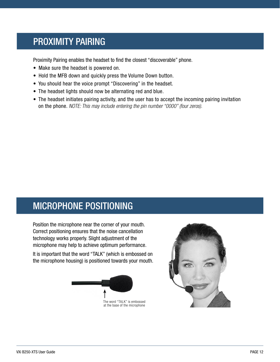### <span id="page-11-0"></span>PROXIMITY PAIRING

Proximity Pairing enables the headset to find the closest "discoverable" phone.

- Make sure the headset is powered on.
- Hold the MFB down and quickly press the Volume Down button.
- You should hear the voice prompt "Discovering" in the headset.
- The headset lights should now be alternating red and blue.
- The headset initiates pairing activity, and the user has to accept the incoming pairing invitation on the phone. *NOTE: This may include entering the pin number "0000" (four zeros).*

### <span id="page-11-1"></span>MICROPHONE POSITIONING

Position the microphone near the corner of your mouth. Correct positioning ensures that the noise cancellation technology works properly. Slight adjustment of the microphone may help to achieve optimum performance.

It is important that the word "TALK" (which is embossed on the microphone housing) is positioned towards your mouth.



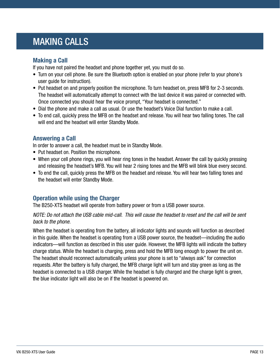### <span id="page-12-0"></span>MAKING CALLS

#### **Making a Call**

If you have not paired the headset and phone together yet, you must do so.

- Turn on your cell phone. Be sure the Bluetooth option is enabled on your phone (refer to your phone's user guide for instruction).
- Put headset on and properly position the microphone. To turn headset on, press MFB for 2-3 seconds. The headset will automatically attempt to connect with the last device it was paired or connected with. Once connected you should hear the voice prompt, "Your headset is connected."
- Dial the phone and make a call as usual. Or use the headset's Voice Dial function to make a call.
- To end call, quickly press the MFB on the headset and release. You will hear two falling tones. The call will end and the headset will enter Standby Mode.

### **Answering a Call**

In order to answer a call, the headset must be in Standby Mode.

- Put headset on. Position the microphone.
- When your cell phone rings, you will hear ring tones in the headset. Answer the call by quickly pressing and releasing the headset's MFB. You will hear 2 rising tones and the MFB will blink blue every second.
- To end the call, quickly press the MFB on the headset and release. You will hear two falling tones and the headset will enter Standby Mode.

### **Operation while using the Charger**

The B250-XTS headset will operate from battery power or from a USB power source.

#### *NOTE: Do not attach the USB cable mid-call. This will cause the headset to reset and the call will be sent back to the phone.*

When the headset is operating from the battery, all indicator lights and sounds will function as described in this guide. When the headset is operating from a USB power source, the headset—including the audio indicators—will function as described in this user guide. However, the MFB lights will indicate the battery charge status. While the headset is charging, press and hold the MFB long enough to power the unit on. The headset should reconnect automatically unless your phone is set to "always ask" for connection requests. After the battery is fully charged, the MFB charge light will turn and stay green as long as the headset is connected to a USB charger. While the headset is fully charged and the charge light is green, the blue indicator light will also be on if the headset is powered on.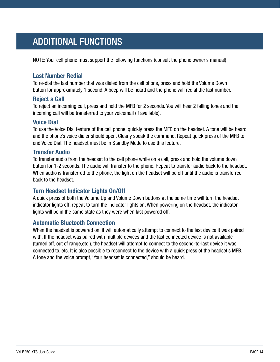# <span id="page-13-0"></span>ADDITIONAL FUNCTIONS

NOTE: Your cell phone must support the following functions (consult the phone owner's manual).

#### **Last Number Redial**

To re-dial the last number that was dialed from the cell phone, press and hold the Volume Down button for approximately 1 second. A beep will be heard and the phone will redial the last number.

#### **Reject a Call**

To reject an incoming call, press and hold the MFB for 2 seconds. You will hear 2 falling tones and the incoming call will be transferred to your voicemail (if available).

#### **Voice Dial**

To use the Voice Dial feature of the cell phone, quickly press the MFB on the headset. A tone will be heard and the phone's voice dialer should open. Clearly speak the command. Repeat quick press of the MFB to end Voice Dial. The headset must be in Standby Mode to use this feature.

#### **Transfer Audio**

To transfer audio from the headset to the cell phone while on a call, press and hold the volume down button for 1-2 seconds. The audio will transfer to the phone. Repeat to transfer audio back to the headset. When audio is transferred to the phone, the light on the headset will be off until the audio is transferred back to the headset.

### **Turn Headset Indicator Lights On/Off**

A quick press of both the Volume Up and Volume Down buttons at the same time will turn the headset indicator lights off, repeat to turn the indicator lights on. When powering on the headset, the indicator lights will be in the same state as they were when last powered off.

#### **Automatic Bluetooth Connection**

When the headset is powered on, it will automatically attempt to connect to the last device it was paired with. If the headset was paired with multiple devices and the last connected device is not available (turned off, out of range,etc.), the headset will attempt to connect to the second-to-last device it was connected to, etc. It is also possible to reconnect to the device with a quick press of the headset's MFB. A tone and the voice prompt,"Your headset is connected," should be heard.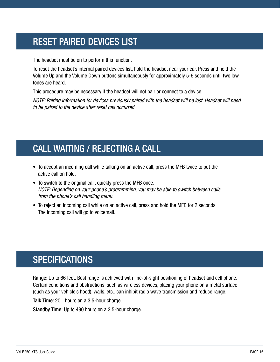# <span id="page-14-0"></span>RESET PAIRED DEVICES LIST

The headset must be on to perform this function.

To reset the headset's internal paired devices list, hold the headset near your ear. Press and hold the Volume Up and the Volume Down buttons simultaneously for approximately 5-6 seconds until two low tones are heard.

This procedure may be necessary if the headset will not pair or connect to a device.

*NOTE: Pairing information for devices previously paired with the headset will be lost. Headset will need to be paired to the device after reset has occurred.*

# <span id="page-14-1"></span>CALL WAITING / REJECTING A CALL

- To accept an incoming call while talking on an active call, press the MFB twice to put the active call on hold.
- To switch to the original call, quickly press the MFB once. *NOTE: Depending on your phone's programming, you may be able to switch between calls from the phone's call handling menu.*
- To reject an incoming call while on an active call, press and hold the MFB for 2 seconds. The incoming call will go to voicemail.

# <span id="page-14-2"></span>**SPECIFICATIONS**

Range: Up to 66 feet. Best range is achieved with line-of-sight positioning of headset and cell phone. Certain conditions and obstructions, such as wireless devices, placing your phone on a metal surface (such as your vehicle's hood), walls, etc., can inhibit radio wave transmission and reduce range.

Talk Time: 20+ hours on a 3.5-hour charge.

Standby Time: Up to 490 hours on a 3.5-hour charge.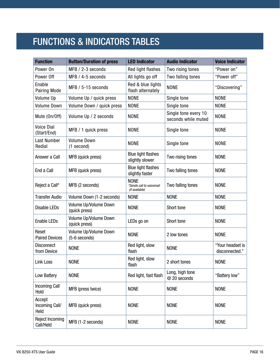# <span id="page-15-0"></span>FUNCTIONS & INDICATORS TABLES

| <b>Function</b>                  | <b>Button/Duration of press</b>        | <b>LED Indicator</b>                                      | <b>Audio Indicator</b>                      | <b>Voice Indicator</b>             |
|----------------------------------|----------------------------------------|-----------------------------------------------------------|---------------------------------------------|------------------------------------|
| Power On                         | MFB / 2-3 seconds                      | Red light flashes                                         | Two rising tones                            | "Power on"                         |
| Power Off                        | MFB / 4-5 seconds                      | All lights go off                                         | Two falling tones                           | "Power off"                        |
| Enable<br>Pairing Mode           | MFB / 5-15 seconds                     | Red & blue lights<br>flash alternately                    | <b>NONE</b>                                 | "Discovering"                      |
| Volume Up                        | Volume Up / quick press                | <b>NONE</b>                                               | Single tone                                 | <b>NONE</b>                        |
| <b>Volume Down</b>               | Volume Down / quick press              | <b>NONE</b>                                               | Single tone                                 | <b>NONE</b>                        |
| Mute (On/Off)                    | Volume Up / 2 seconds                  | <b>NONE</b>                                               | Single tone every 10<br>seconds while muted | <b>NONE</b>                        |
| <b>Voice Dial</b><br>(Start/End) | MFB / 1 quick press                    | <b>NONE</b>                                               | Single tone                                 | <b>NONE</b>                        |
| <b>Last Number</b><br>Redial     | <b>Volume Down</b><br>(1 second)       | <b>NONE</b>                                               | Single tone                                 | <b>NONE</b>                        |
| Answer a Call                    | MFB (quick press)                      | <b>Blue light flashes</b><br>slightly slower              | Two rising tones                            | <b>NONE</b>                        |
| End a Call                       | MFB (quick press)                      | <b>Blue light flashes</b><br>slightly faster              | Two falling tones                           | <b>NONE</b>                        |
| Reject a Call*                   | MFB (2 seconds)                        | <b>NONE</b><br>*Sends call to voicemail<br>(if available) | Two falling tones                           | <b>NONE</b>                        |
| <b>Transfer Audio</b>            | Volume Down (1-2 seconds)              | <b>NONE</b>                                               | <b>NONE</b>                                 | <b>NONE</b>                        |
| <b>Disable LEDs</b>              | Volume Up/Volume Down<br>(quick press) | <b>NONE</b>                                               | Short tone                                  | <b>NONE</b>                        |
| <b>Enable LEDs</b>               | Volume Up/Volume Down<br>(quick press) | LEDs go on                                                | Short tone                                  | <b>NONE</b>                        |
| Reset<br><b>Paired Devices</b>   | Volume Up/Volume Down<br>(5-6 seconds) | <b>NONE</b>                                               | 2 low tones                                 | <b>NONE</b>                        |
| <b>Disconnect</b><br>from Device | <b>NONE</b>                            | Red light, slow<br>flash                                  | <b>NONE</b>                                 | "Your headset is<br>disconnected." |
| Link Loss                        | <b>NONE</b>                            | Red light, slow<br>flash                                  | 2 short tones                               | <b>NONE</b>                        |
| Low Battery                      | <b>NONE</b>                            | Red light, fast flash                                     | Long, high tone<br>@ 20 seconds             | "Battery low"                      |
| <b>Incoming Call</b><br>Hold     | MFB (press twice)                      | <b>NONE</b>                                               | <b>NONE</b>                                 | <b>NONE</b>                        |
| Accept<br>Incoming Call/<br>Held | MFB (quick press)                      | <b>NONE</b>                                               | <b>NONE</b>                                 | <b>NONE</b>                        |
| Reject Incoming<br>Call/Held     | MFB (1-2 seconds)                      | <b>NONE</b>                                               | <b>NONE</b>                                 | <b>NONE</b>                        |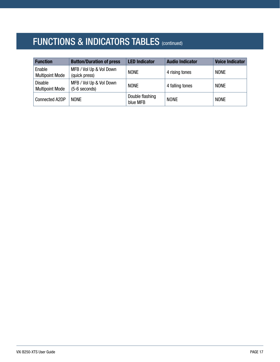# FUNCTIONS & INDICATORS TABLES (continued)

| <b>Function</b>                          | <b>Button/Duration of press</b>            | <b>LED Indicator</b>        | <b>Audio Indicator</b> | <b>Voice Indicator</b> |
|------------------------------------------|--------------------------------------------|-----------------------------|------------------------|------------------------|
| Enable<br><b>Multipoint Mode</b>         | MFB / Vol Up & Vol Down<br>(quick press)   | <b>NONE</b>                 | 4 rising tones         | <b>NONE</b>            |
| <b>Disable</b><br><b>Multipoint Mode</b> | MFB / Vol Up & Vol Down<br>$(5-6$ seconds) | <b>NONE</b>                 | 4 falling tones        | <b>NONE</b>            |
| Connected A2DP                           | <b>NONE</b>                                | Double flashing<br>blue MFB | <b>NONE</b>            | <b>NONE</b>            |